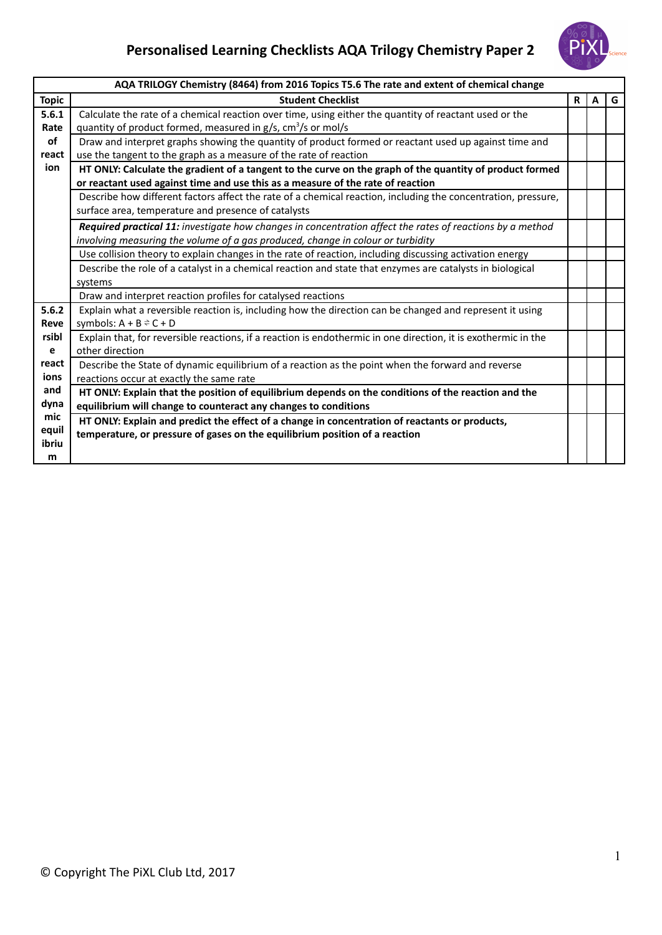## **Personalised Learning Checklists AQA Trilogy Chemistry Paper 2**



|              | AQA TRILOGY Chemistry (8464) from 2016 Topics T5.6 The rate and extent of chemical change                      |    |   |   |
|--------------|----------------------------------------------------------------------------------------------------------------|----|---|---|
| <b>Topic</b> | <b>Student Checklist</b>                                                                                       | R. | A | G |
| 5.6.1        | Calculate the rate of a chemical reaction over time, using either the quantity of reactant used or the         |    |   |   |
| Rate         | quantity of product formed, measured in $g/s$ , $cm3/s$ or mol/s                                               |    |   |   |
| of           | Draw and interpret graphs showing the quantity of product formed or reactant used up against time and          |    |   |   |
| react        | use the tangent to the graph as a measure of the rate of reaction                                              |    |   |   |
| ion          | HT ONLY: Calculate the gradient of a tangent to the curve on the graph of the quantity of product formed       |    |   |   |
|              | or reactant used against time and use this as a measure of the rate of reaction                                |    |   |   |
|              | Describe how different factors affect the rate of a chemical reaction, including the concentration, pressure,  |    |   |   |
|              | surface area, temperature and presence of catalysts                                                            |    |   |   |
|              | Required practical 11: investigate how changes in concentration affect the rates of reactions by a method      |    |   |   |
|              | involving measuring the volume of a gas produced, change in colour or turbidity                                |    |   |   |
|              | Use collision theory to explain changes in the rate of reaction, including discussing activation energy        |    |   |   |
|              | Describe the role of a catalyst in a chemical reaction and state that enzymes are catalysts in biological      |    |   |   |
|              | systems                                                                                                        |    |   |   |
|              | Draw and interpret reaction profiles for catalysed reactions                                                   |    |   |   |
| 5.6.2        | Explain what a reversible reaction is, including how the direction can be changed and represent it using       |    |   |   |
| Reve         | symbols: $A + B \rightleftharpoons C + D$                                                                      |    |   |   |
| rsibl        | Explain that, for reversible reactions, if a reaction is endothermic in one direction, it is exothermic in the |    |   |   |
| е            | other direction                                                                                                |    |   |   |
| react        | Describe the State of dynamic equilibrium of a reaction as the point when the forward and reverse              |    |   |   |
| ions         | reactions occur at exactly the same rate                                                                       |    |   |   |
| and          | HT ONLY: Explain that the position of equilibrium depends on the conditions of the reaction and the            |    |   |   |
| dyna         | equilibrium will change to counteract any changes to conditions                                                |    |   |   |
| mic          | HT ONLY: Explain and predict the effect of a change in concentration of reactants or products,                 |    |   |   |
| equil        | temperature, or pressure of gases on the equilibrium position of a reaction                                    |    |   |   |
| ibriu        |                                                                                                                |    |   |   |
| m            |                                                                                                                |    |   |   |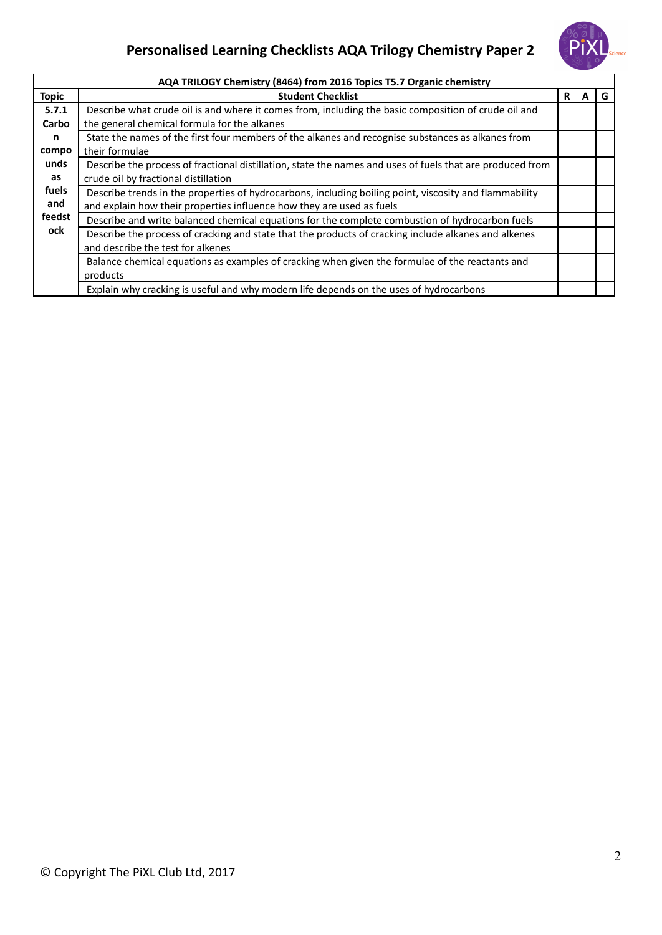## **Personalised Learning Checklists AQA Trilogy Chemistry Paper 2**



|              | AQA TRILOGY Chemistry (8464) from 2016 Topics T5.7 Organic chemistry                                      |     |   |   |
|--------------|-----------------------------------------------------------------------------------------------------------|-----|---|---|
| <b>Topic</b> | <b>Student Checklist</b>                                                                                  | R I | A | G |
| 5.7.1        | Describe what crude oil is and where it comes from, including the basic composition of crude oil and      |     |   |   |
| Carbo        | the general chemical formula for the alkanes                                                              |     |   |   |
| n            | State the names of the first four members of the alkanes and recognise substances as alkanes from         |     |   |   |
| compo        | their formulae                                                                                            |     |   |   |
| unds         | Describe the process of fractional distillation, state the names and uses of fuels that are produced from |     |   |   |
| as           | crude oil by fractional distillation                                                                      |     |   |   |
| fuels        | Describe trends in the properties of hydrocarbons, including boiling point, viscosity and flammability    |     |   |   |
| and          | and explain how their properties influence how they are used as fuels                                     |     |   |   |
| feedst       | Describe and write balanced chemical equations for the complete combustion of hydrocarbon fuels           |     |   |   |
| ock          | Describe the process of cracking and state that the products of cracking include alkanes and alkenes      |     |   |   |
|              | and describe the test for alkenes                                                                         |     |   |   |
|              | Balance chemical equations as examples of cracking when given the formulae of the reactants and           |     |   |   |
|              | products                                                                                                  |     |   |   |
|              | Explain why cracking is useful and why modern life depends on the uses of hydrocarbons                    |     |   |   |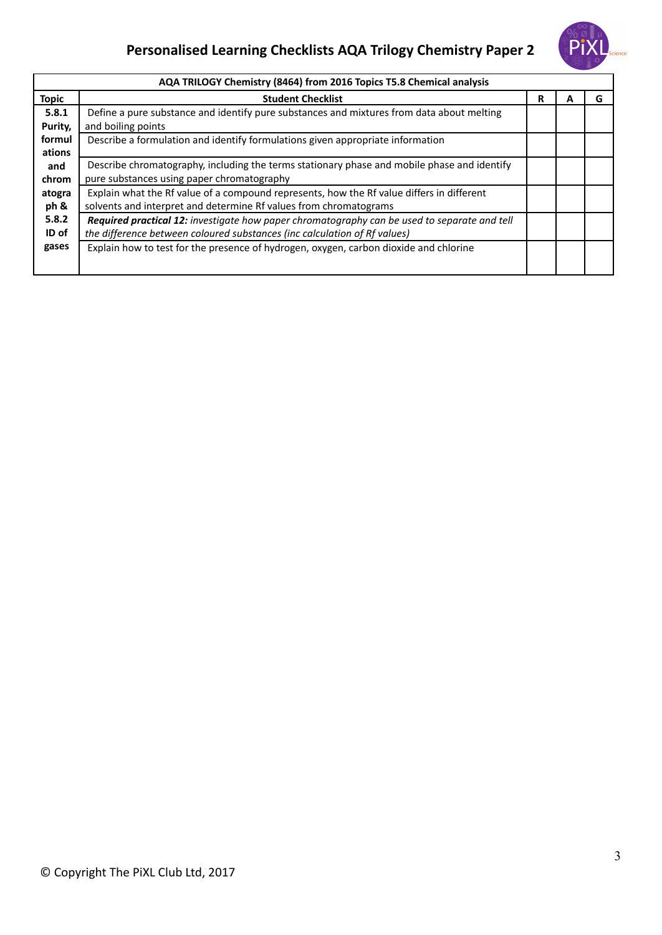## **Personalised Learning Checklists AQA Trilogy Chemistry Paper 2**



| AQA TRILOGY Chemistry (8464) from 2016 Topics T5.8 Chemical analysis |                                                                                              |   |   |   |
|----------------------------------------------------------------------|----------------------------------------------------------------------------------------------|---|---|---|
| <b>Topic</b>                                                         | <b>Student Checklist</b>                                                                     | R | А | G |
| 5.8.1                                                                | Define a pure substance and identify pure substances and mixtures from data about melting    |   |   |   |
| Purity,                                                              | and boiling points                                                                           |   |   |   |
| formul                                                               | Describe a formulation and identify formulations given appropriate information               |   |   |   |
| ations                                                               |                                                                                              |   |   |   |
| and                                                                  | Describe chromatography, including the terms stationary phase and mobile phase and identify  |   |   |   |
| chrom                                                                | pure substances using paper chromatography                                                   |   |   |   |
| atogra                                                               | Explain what the Rf value of a compound represents, how the Rf value differs in different    |   |   |   |
| ph &                                                                 | solvents and interpret and determine Rf values from chromatograms                            |   |   |   |
| 5.8.2                                                                | Required practical 12: investigate how paper chromatography can be used to separate and tell |   |   |   |
| ID of                                                                | the difference between coloured substances (inc calculation of Rf values)                    |   |   |   |
| gases                                                                | Explain how to test for the presence of hydrogen, oxygen, carbon dioxide and chlorine        |   |   |   |
|                                                                      |                                                                                              |   |   |   |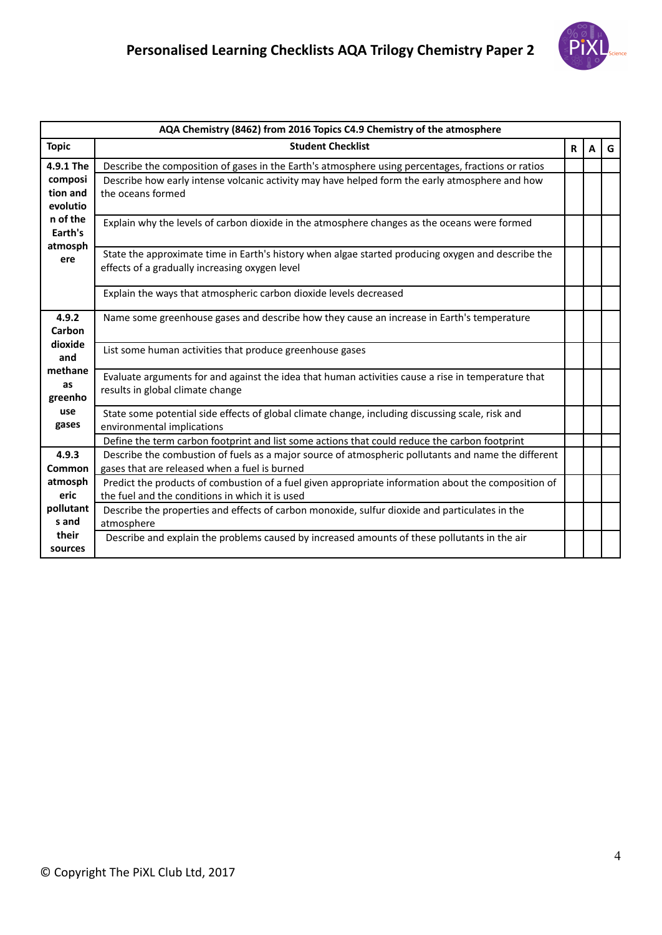

|                      | AQA Chemistry (8462) from 2016 Topics C4.9 Chemistry of the atmosphere                                                                                 |   |   |   |  |  |
|----------------------|--------------------------------------------------------------------------------------------------------------------------------------------------------|---|---|---|--|--|
| <b>Topic</b>         | <b>Student Checklist</b>                                                                                                                               | R | A | G |  |  |
| 4.9.1 The            | Describe the composition of gases in the Earth's atmosphere using percentages, fractions or ratios                                                     |   |   |   |  |  |
| composi              | Describe how early intense volcanic activity may have helped form the early atmosphere and how                                                         |   |   |   |  |  |
| tion and             | the oceans formed                                                                                                                                      |   |   |   |  |  |
| evolutio<br>n of the |                                                                                                                                                        |   |   |   |  |  |
| Earth's              | Explain why the levels of carbon dioxide in the atmosphere changes as the oceans were formed                                                           |   |   |   |  |  |
| atmosph              |                                                                                                                                                        |   |   |   |  |  |
| ere                  | State the approximate time in Earth's history when algae started producing oxygen and describe the                                                     |   |   |   |  |  |
|                      | effects of a gradually increasing oxygen level                                                                                                         |   |   |   |  |  |
|                      | Explain the ways that atmospheric carbon dioxide levels decreased                                                                                      |   |   |   |  |  |
|                      |                                                                                                                                                        |   |   |   |  |  |
| 4.9.2                | Name some greenhouse gases and describe how they cause an increase in Earth's temperature                                                              |   |   |   |  |  |
| Carbon<br>dioxide    |                                                                                                                                                        |   |   |   |  |  |
| and                  | List some human activities that produce greenhouse gases                                                                                               |   |   |   |  |  |
| methane              |                                                                                                                                                        |   |   |   |  |  |
| as                   | Evaluate arguments for and against the idea that human activities cause a rise in temperature that<br>results in global climate change                 |   |   |   |  |  |
| greenho              |                                                                                                                                                        |   |   |   |  |  |
| use                  | State some potential side effects of global climate change, including discussing scale, risk and                                                       |   |   |   |  |  |
| gases                | environmental implications                                                                                                                             |   |   |   |  |  |
|                      | Define the term carbon footprint and list some actions that could reduce the carbon footprint                                                          |   |   |   |  |  |
| 4.9.3                | Describe the combustion of fuels as a major source of atmospheric pollutants and name the different                                                    |   |   |   |  |  |
| Common               | gases that are released when a fuel is burned                                                                                                          |   |   |   |  |  |
| atmosph<br>eric      | Predict the products of combustion of a fuel given appropriate information about the composition of<br>the fuel and the conditions in which it is used |   |   |   |  |  |
| pollutant            | Describe the properties and effects of carbon monoxide, sulfur dioxide and particulates in the                                                         |   |   |   |  |  |
| s and                | atmosphere                                                                                                                                             |   |   |   |  |  |
| their                | Describe and explain the problems caused by increased amounts of these pollutants in the air                                                           |   |   |   |  |  |
| sources              |                                                                                                                                                        |   |   |   |  |  |